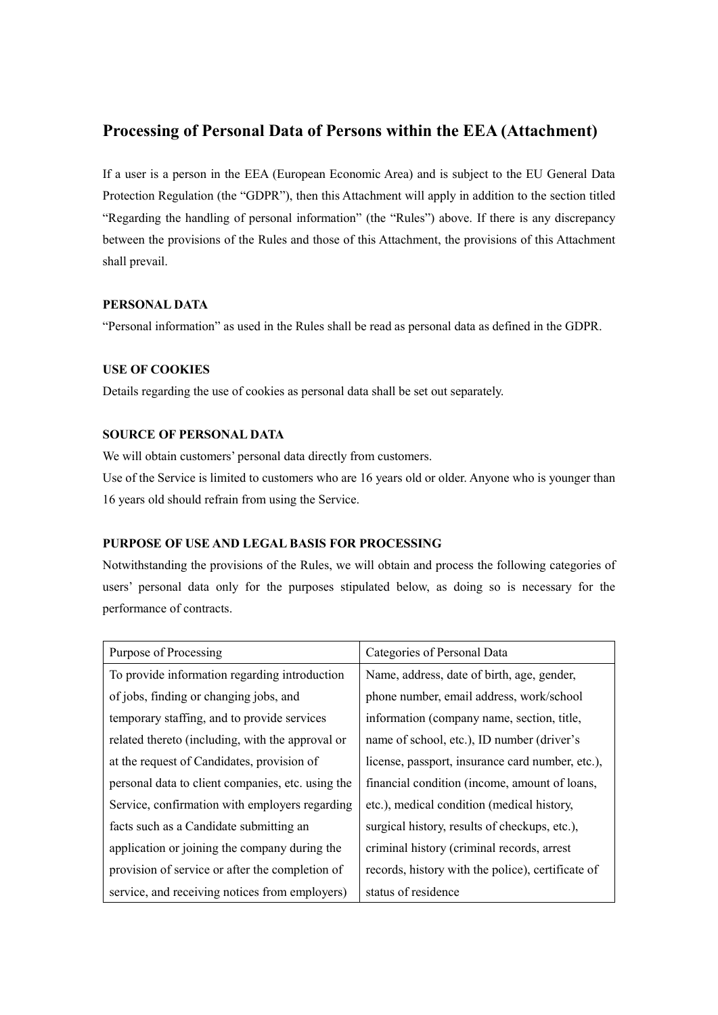# **Processing of Personal Data of Persons within the EEA (Attachment)**

If a user is a person in the EEA (European Economic Area) and is subject to the EU General Data Protection Regulation (the "GDPR"), then this Attachment will apply in addition to the section titled "Regarding the handling of personal information" (the "Rules") above. If there is any discrepancy between the provisions of the Rules and those of this Attachment, the provisions of this Attachment shall prevail.

## **PERSONAL DATA**

"Personal information" as used in the Rules shall be read as personal data as defined in the GDPR.

## **USE OF COOKIES**

Details regarding the use of cookies as personal data shall be set out separately.

# **SOURCE OF PERSONAL DATA**

We will obtain customers' personal data directly from customers.

Use of the Service is limited to customers who are 16 years old or older. Anyone who is younger than 16 years old should refrain from using the Service.

# **PURPOSE OF USE AND LEGAL BASIS FOR PROCESSING**

Notwithstanding the provisions of the Rules, we will obtain and process the following categories of users' personal data only for the purposes stipulated below, as doing so is necessary for the performance of contracts.

| Purpose of Processing                             | Categories of Personal Data                       |
|---------------------------------------------------|---------------------------------------------------|
| To provide information regarding introduction     | Name, address, date of birth, age, gender,        |
| of jobs, finding or changing jobs, and            | phone number, email address, work/school          |
| temporary staffing, and to provide services       | information (company name, section, title,        |
| related thereto (including, with the approval or  | name of school, etc.), ID number (driver's        |
| at the request of Candidates, provision of        | license, passport, insurance card number, etc.),  |
| personal data to client companies, etc. using the | financial condition (income, amount of loans,     |
| Service, confirmation with employers regarding    | etc.), medical condition (medical history,        |
| facts such as a Candidate submitting an           | surgical history, results of checkups, etc.),     |
| application or joining the company during the     | criminal history (criminal records, arrest        |
| provision of service or after the completion of   | records, history with the police), certificate of |
| service, and receiving notices from employers)    | status of residence                               |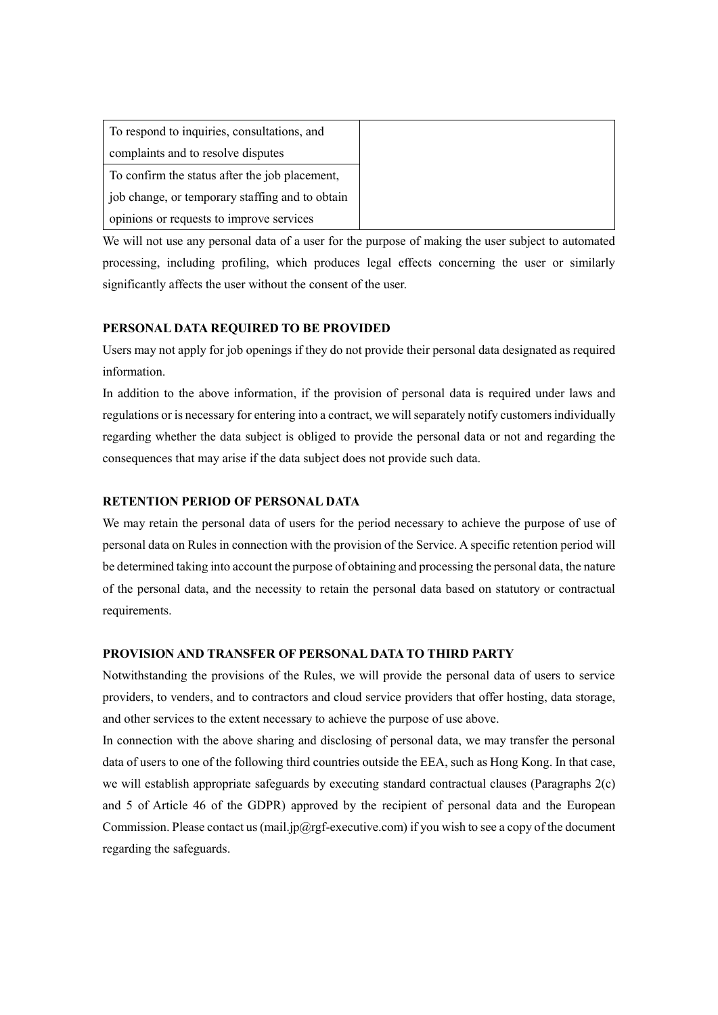| To respond to inquiries, consultations, and     |
|-------------------------------------------------|
| complaints and to resolve disputes              |
| To confirm the status after the job placement,  |
| job change, or temporary staffing and to obtain |
| opinions or requests to improve services        |

We will not use any personal data of a user for the purpose of making the user subject to automated processing, including profiling, which produces legal effects concerning the user or similarly significantly affects the user without the consent of the user.

#### **PERSONAL DATA REQUIRED TO BE PROVIDED**

Users may not apply for job openings if they do not provide their personal data designated as required information.

In addition to the above information, if the provision of personal data is required under laws and regulations or is necessary for entering into a contract, we will separately notify customers individually regarding whether the data subject is obliged to provide the personal data or not and regarding the consequences that may arise if the data subject does not provide such data.

# **RETENTION PERIOD OF PERSONAL DATA**

We may retain the personal data of users for the period necessary to achieve the purpose of use of personal data on Rules in connection with the provision of the Service. A specific retention period will be determined taking into account the purpose of obtaining and processing the personal data, the nature of the personal data, and the necessity to retain the personal data based on statutory or contractual requirements.

## **PROVISION AND TRANSFER OF PERSONAL DATA TO THIRD PARTY**

Notwithstanding the provisions of the Rules, we will provide the personal data of users to service providers, to venders, and to contractors and cloud service providers that offer hosting, data storage, and other services to the extent necessary to achieve the purpose of use above.

In connection with the above sharing and disclosing of personal data, we may transfer the personal data of users to one of the following third countries outside the EEA, such as Hong Kong. In that case, we will establish appropriate safeguards by executing standard contractual clauses (Paragraphs 2(c) and 5 of Article 46 of the GDPR) approved by the recipient of personal data and the European Commission. Please contact us (mail.jp@rgf-executive.com) if you wish to see a copy of the document regarding the safeguards.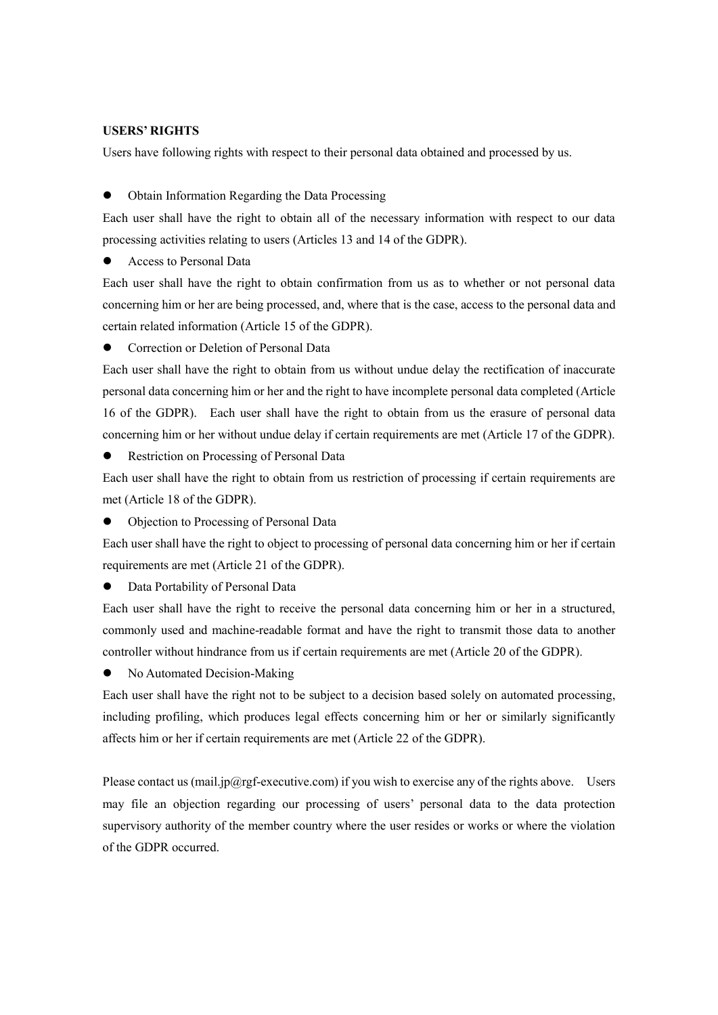#### **USERS' RIGHTS**

Users have following rights with respect to their personal data obtained and processed by us.

⚫ Obtain Information Regarding the Data Processing

Each user shall have the right to obtain all of the necessary information with respect to our data processing activities relating to users (Articles 13 and 14 of the GDPR).

⚫ Access to Personal Data

Each user shall have the right to obtain confirmation from us as to whether or not personal data concerning him or her are being processed, and, where that is the case, access to the personal data and certain related information (Article 15 of the GDPR).

⚫ Correction or Deletion of Personal Data

Each user shall have the right to obtain from us without undue delay the rectification of inaccurate personal data concerning him or her and the right to have incomplete personal data completed (Article 16 of the GDPR). Each user shall have the right to obtain from us the erasure of personal data concerning him or her without undue delay if certain requirements are met (Article 17 of the GDPR).

⚫ Restriction on Processing of Personal Data

Each user shall have the right to obtain from us restriction of processing if certain requirements are met (Article 18 of the GDPR).

⚫ Objection to Processing of Personal Data

Each user shall have the right to object to processing of personal data concerning him or her if certain requirements are met (Article 21 of the GDPR).

⚫ Data Portability of Personal Data

Each user shall have the right to receive the personal data concerning him or her in a structured, commonly used and machine-readable format and have the right to transmit those data to another controller without hindrance from us if certain requirements are met (Article 20 of the GDPR).

● No Automated Decision-Making

Each user shall have the right not to be subject to a decision based solely on automated processing, including profiling, which produces legal effects concerning him or her or similarly significantly affects him or her if certain requirements are met (Article 22 of the GDPR).

Please contact us (mail.jp@rgf-executive.com) if you wish to exercise any of the rights above. Users may file an objection regarding our processing of users' personal data to the data protection supervisory authority of the member country where the user resides or works or where the violation of the GDPR occurred.